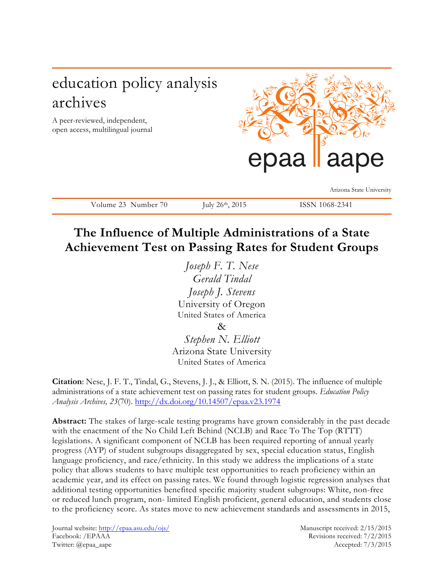# education policy analysis archives

A peer-reviewed, independent, open access, multilingual journal



Arizona State University

Volume 23 Number 70 July 26th, 2015 ISSN 1068-2341

## **The Influence of Multiple Administrations of a State Achievement Test on Passing Rates for Student Groups**

*Joseph F. T. Nese Gerald Tindal Joseph J. Stevens* University of Oregon United States of America

 $\lambda$ 

*Stephen N. Elliott* Arizona State University United States of America

**Citation**: Nese, J. F. T., Tindal, G., Stevens, J. J., & Elliott, S. N. (2015). The influence of multiple administrations of a state achievement test on passing rates for student groups. *Education Policy Analysis Archives, 23*(70). http://dx.doi.org/10.14507/epaa.v23.1974

**Abstract:** The stakes of large-scale testing programs have grown considerably in the past decade with the enactment of the No Child Left Behind (NCLB) and Race To The Top (RTTT) legislations. A significant component of NCLB has been required reporting of annual yearly progress (AYP) of student subgroups disaggregated by sex, special education status, English language proficiency, and race/ethnicity. In this study we address the implications of a state policy that allows students to have multiple test opportunities to reach proficiency within an academic year, and its effect on passing rates. We found through logistic regression analyses that additional testing opportunities benefited specific majority student subgroups: White, non-free or reduced lunch program, non- limited English proficient, general education, and students close to the proficiency score. As states move to new achievement standards and assessments in 2015,

Journal website: http://epaa.asu.edu/ojs/ Manuscript received: 2/15/2015 Facebook: /EPAAA Revisions received: 7/2/2015 Twitter: @epaa\_aape Accepted: 7/3/2015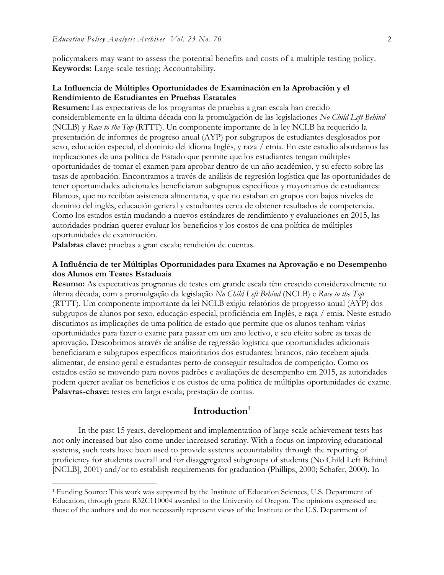policymakers may want to assess the potential benefits and costs of a multiple testing policy. **Keywords:** Large scale testing; Accountability.

## **La Influencia de Múltiples Oportunidades de Examinación en la Aprobación y el Rendimiento de Estudiantes en Pruebas Estatales**

**Resumen:** Las expectativas de los programas de pruebas a gran escala han crecido considerablemente en la última década con la promulgación de las legislaciones *No Child Left Behind* (NCLB) y *Race to the Top* (RTTT). Un componente importante de la ley NCLB ha requerido la presentación de informes de progreso anual (AYP) por subgrupos de estudiantes desglosados por sexo, educación especial, el dominio del idioma Inglés, y raza / etnia. En este estudio abordamos las implicaciones de una política de Estado que permite que los estudiantes tengan múltiples oportunidades de tomar el examen para aprobar dentro de un año académico, y su efecto sobre las tasas de aprobación. Encontramos a través de análisis de regresión logística que las oportunidades de tener oportunidades adicionales beneficiaron subgrupos específicos y mayoritarios de estudiantes: Blancos, que no recibían asistencia alimentaria, y que no estaban en grupos con bajos niveles de dominio del inglés, educación general y estudiantes cerca de obtener resultados de competencia. Como los estados están mudando a nuevos estándares de rendimiento y evaluaciones en 2015, las autoridades podrían querer evaluar los beneficios y los costos de una política de múltiples oportunidades de examinación.

Palabras clave: pruebas a gran escala; rendición de cuentas.

## **A Influência de ter Múltiplas Oportunidades para Exames na Aprovação e no Desempenho dos Alunos em Testes Estaduais**

**Resumo:** As expectativas programas de testes em grande escala têm crescido consideravelmente na última década, com a promulgação da legislação *No Child Left Behind* (NCLB) e *Race to the Top* (RTTT). Um componente importante da lei NCLB exigiu relatórios de progresso anual (AYP) dos subgrupos de alunos por sexo, educação especial, proficiência em Inglês, e raça / etnia. Neste estudo discutimos as implicações de uma política de estado que permite que os alunos tenham várias oportunidades para fazer o exame para passar em um ano lectivo, e seu efeito sobre as taxas de aprovação. Descobrimos através de análise de regressão logística que oportunidades adicionais beneficiaram e subgrupos específicos maioritarios dos estudantes: brancos, não recebem ajuda alimentar, de ensino geral e estudantes perto de conseguir resultados de competição. Como os estados estão se movendo para novos padrões e avaliações de desempenho em 2015, as autoridades podem querer avaliar os benefícios e os custos de uma política de múltiplas oportunidades de exame. **Palavras-chave:** testes em larga escala; prestação de contas.

## **Introduction1**

In the past 15 years, development and implementation of large-scale achievement tests has not only increased but also come under increased scrutiny. With a focus on improving educational systems, such tests have been used to provide systems accountability through the reporting of proficiency for students overall and for disaggregated subgroups of students (No Child Left Behind [NCLB], 2001) and/or to establish requirements for graduation (Phillips, 2000; Schafer, 2000). In

 <sup>1</sup> Funding Source: This work was supported by the Institute of Education Sciences, U.S. Department of Education, through grant R32C110004 awarded to the University of Oregon. The opinions expressed are those of the authors and do not necessarily represent views of the Institute or the U.S. Department of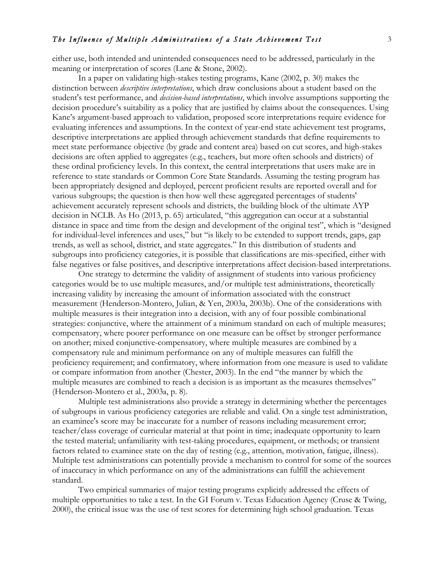either use, both intended and unintended consequences need to be addressed, particularly in the meaning or interpretation of scores (Lane & Stone, 2002).

In a paper on validating high-stakes testing programs, Kane (2002, p. 30) makes the distinction between *descriptive interpretations*, which draw conclusions about a student based on the student's test performance, and *decision-based interpretations*, which involve assumptions supporting the decision procedure's suitability as a policy that are justified by claims about the consequences. Using Kane's argument-based approach to validation, proposed score interpretations require evidence for evaluating inferences and assumptions. In the context of year-end state achievement test programs, descriptive interpretations are applied through achievement standards that define requirements to meet state performance objective (by grade and content area) based on cut scores, and high-stakes decisions are often applied to aggregates (e.g., teachers, but more often schools and districts) of these ordinal proficiency levels. In this context, the central interpretations that users make are in reference to state standards or Common Core State Standards. Assuming the testing program has been appropriately designed and deployed, percent proficient results are reported overall and for various subgroups; the question is then how well these aggregated percentages of students' achievement accurately represent schools and districts, the building block of the ultimate AYP decision in NCLB. As Ho (2013, p. 65) articulated, "this aggregation can occur at a substantial distance in space and time from the design and development of the original test", which is "designed for individual-level inferences and uses," but "is likely to be extended to support trends, gaps, gap trends, as well as school, district, and state aggregates." In this distribution of students and subgroups into proficiency categories, it is possible that classifications are mis-specified, either with false negatives or false positives, and descriptive interpretations affect decision-based interpretations.

One strategy to determine the validity of assignment of students into various proficiency categories would be to use multiple measures, and/or multiple test administrations, theoretically increasing validity by increasing the amount of information associated with the construct measurement (Henderson-Montero, Julian, & Yen, 2003a, 2003b). One of the considerations with multiple measures is their integration into a decision, with any of four possible combinational strategies: conjunctive, where the attainment of a minimum standard on each of multiple measures; compensatory, where poorer performance on one measure can be offset by stronger performance on another; mixed conjunctive-compensatory, where multiple measures are combined by a compensatory rule and minimum performance on any of multiple measures can fulfill the proficiency requirement; and confirmatory, where information from one measure is used to validate or compare information from another (Chester, 2003). In the end "the manner by which the multiple measures are combined to reach a decision is as important as the measures themselves" (Henderson-Montero et al., 2003a, p. 8).

Multiple test administrations also provide a strategy in determining whether the percentages of subgroups in various proficiency categories are reliable and valid. On a single test administration, an examinee's score may be inaccurate for a number of reasons including measurement error; teacher/class coverage of curricular material at that point in time; inadequate opportunity to learn the tested material; unfamiliarity with test-taking procedures, equipment, or methods; or transient factors related to examinee state on the day of testing (e.g., attention, motivation, fatigue, illness). Multiple test administrations can potentially provide a mechanism to control for some of the sources of inaccuracy in which performance on any of the administrations can fulfill the achievement standard.

Two empirical summaries of major testing programs explicitly addressed the effects of multiple opportunities to take a test. In the GI Forum v. Texas Education Agency (Cruse & Twing, 2000), the critical issue was the use of test scores for determining high school graduation. Texas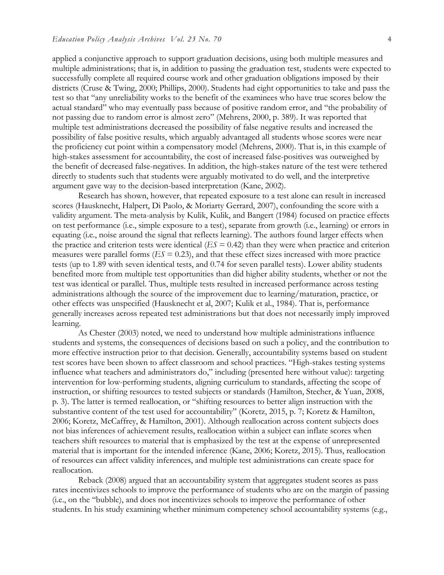applied a conjunctive approach to support graduation decisions, using both multiple measures and multiple administrations; that is, in addition to passing the graduation test, students were expected to successfully complete all required course work and other graduation obligations imposed by their districts (Cruse & Twing, 2000; Phillips, 2000). Students had eight opportunities to take and pass the test so that "any unreliability works to the benefit of the examinees who have true scores below the actual standard" who may eventually pass because of positive random error, and "the probability of not passing due to random error is almost zero" (Mehrens, 2000, p. 389). It was reported that multiple test administrations decreased the possibility of false negative results and increased the possibility of false positive results, which arguably advantaged all students whose scores were near the proficiency cut point within a compensatory model (Mehrens, 2000). That is, in this example of high-stakes assessment for accountability, the cost of increased false-positives was outweighed by the benefit of decreased false-negatives. In addition, the high-stakes nature of the test were tethered directly to students such that students were arguably motivated to do well, and the interpretive argument gave way to the decision-based interpretation (Kane, 2002).

Research has shown, however, that repeated exposure to a test alone can result in increased scores (Hausknecht, Halpert, Di Paolo, & Moriarty Gerrard, 2007), confounding the score with a validity argument. The meta-analysis by Kulik, Kulik, and Bangert (1984) focused on practice effects on test performance (i.e., simple exposure to a test), separate from growth (i.e., learning) or errors in equating (i.e., noise around the signal that reflects learning). The authors found larger effects when the practice and criterion tests were identical  $(ES = 0.42)$  than they were when practice and criterion measures were parallel forms  $(ES = 0.23)$ , and that these effect sizes increased with more practice tests (up to 1.89 with seven identical tests, and 0.74 for seven parallel tests). Lower ability students benefited more from multiple test opportunities than did higher ability students, whether or not the test was identical or parallel. Thus, multiple tests resulted in increased performance across testing administrations although the source of the improvement due to learning/maturation, practice, or other effects was unspecified (Hausknecht et al, 2007; Kulik et al., 1984). That is, performance generally increases across repeated test administrations but that does not necessarily imply improved learning.

As Chester (2003) noted, we need to understand how multiple administrations influence students and systems, the consequences of decisions based on such a policy, and the contribution to more effective instruction prior to that decision. Generally, accountability systems based on student test scores have been shown to affect classroom and school practices. "High-stakes testing systems influence what teachers and administrators do," including (presented here without value): targeting intervention for low-performing students, aligning curriculum to standards, affecting the scope of instruction, or shifting resources to tested subjects or standards (Hamilton, Stecher, & Yuan, 2008, p. 3). The latter is termed reallocation, or "shifting resources to better align instruction with the substantive content of the test used for accountability" (Koretz, 2015, p. 7; Koretz & Hamilton, 2006; Koretz, McCaffrey, & Hamilton, 2001). Although reallocation across content subjects does not bias inferences of achievement results, reallocation within a subject can inflate scores when teachers shift resources to material that is emphasized by the test at the expense of unrepresented material that is important for the intended inference (Kane, 2006; Koretz, 2015). Thus, reallocation of resources can affect validity inferences, and multiple test administrations can create space for reallocation.

Reback (2008) argued that an accountability system that aggregates student scores as pass rates incentivizes schools to improve the performance of students who are on the margin of passing (i.e., on the "bubble), and does not incentivizes schools to improve the performance of other students. In his study examining whether minimum competency school accountability systems (e.g.,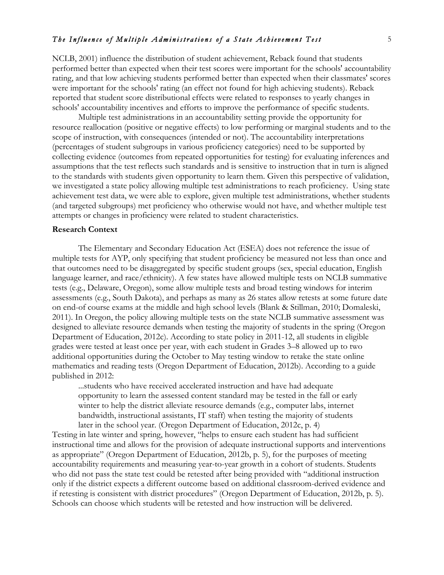NCLB, 2001) influence the distribution of student achievement, Reback found that students performed better than expected when their test scores were important for the schools' accountability rating, and that low achieving students performed better than expected when their classmates' scores were important for the schools' rating (an effect not found for high achieving students). Reback reported that student score distributional effects were related to responses to yearly changes in schools' accountability incentives and efforts to improve the performance of specific students.

Multiple test administrations in an accountability setting provide the opportunity for resource reallocation (positive or negative effects) to low performing or marginal students and to the scope of instruction, with consequences (intended or not). The accountability interpretations (percentages of student subgroups in various proficiency categories) need to be supported by collecting evidence (outcomes from repeated opportunities for testing) for evaluating inferences and assumptions that the test reflects such standards and is sensitive to instruction that in turn is aligned to the standards with students given opportunity to learn them. Given this perspective of validation, we investigated a state policy allowing multiple test administrations to reach proficiency. Using state achievement test data, we were able to explore, given multiple test administrations, whether students (and targeted subgroups) met proficiency who otherwise would not have, and whether multiple test attempts or changes in proficiency were related to student characteristics.

#### **Research Context**

The Elementary and Secondary Education Act (ESEA) does not reference the issue of multiple tests for AYP, only specifying that student proficiency be measured not less than once and that outcomes need to be disaggregated by specific student groups (sex, special education, English language learner, and race/ethnicity). A few states have allowed multiple tests on NCLB summative tests (e.g., Delaware, Oregon), some allow multiple tests and broad testing windows for interim assessments (e.g., South Dakota), and perhaps as many as 26 states allow retests at some future date on end-of course exams at the middle and high school levels (Blank & Stillman, 2010; Domaleski, 2011). In Oregon, the policy allowing multiple tests on the state NCLB summative assessment was designed to alleviate resource demands when testing the majority of students in the spring (Oregon Department of Education, 2012c). According to state policy in 2011-12, all students in eligible grades were tested at least once per year, with each student in Grades 3–8 allowed up to two additional opportunities during the October to May testing window to retake the state online mathematics and reading tests (Oregon Department of Education, 2012b). According to a guide published in 2012:

...students who have received accelerated instruction and have had adequate opportunity to learn the assessed content standard may be tested in the fall or early winter to help the district alleviate resource demands (e.g., computer labs, internet bandwidth, instructional assistants, IT staff) when testing the majority of students later in the school year. (Oregon Department of Education, 2012c, p. 4)

Testing in late winter and spring, however, "helps to ensure each student has had sufficient instructional time and allows for the provision of adequate instructional supports and interventions as appropriate" (Oregon Department of Education, 2012b, p. 5), for the purposes of meeting accountability requirements and measuring year-to-year growth in a cohort of students. Students who did not pass the state test could be retested after being provided with "additional instruction only if the district expects a different outcome based on additional classroom-derived evidence and if retesting is consistent with district procedures" (Oregon Department of Education, 2012b, p. 5). Schools can choose which students will be retested and how instruction will be delivered.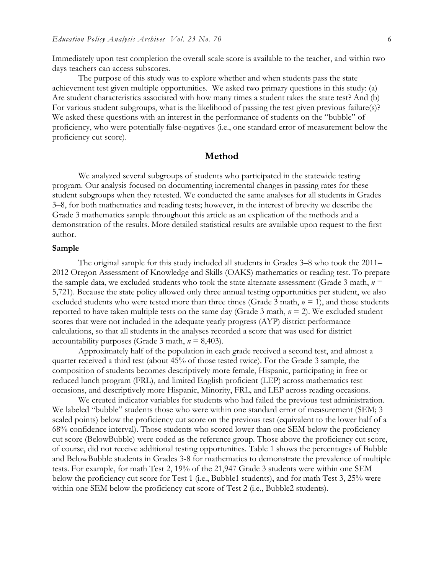Immediately upon test completion the overall scale score is available to the teacher, and within two days teachers can access subscores.

The purpose of this study was to explore whether and when students pass the state achievement test given multiple opportunities. We asked two primary questions in this study: (a) Are student characteristics associated with how many times a student takes the state test? And (b) For various student subgroups, what is the likelihood of passing the test given previous failure(s)? We asked these questions with an interest in the performance of students on the "bubble" of proficiency, who were potentially false-negatives (i.e., one standard error of measurement below the proficiency cut score).

## **Method**

We analyzed several subgroups of students who participated in the statewide testing program. Our analysis focused on documenting incremental changes in passing rates for these student subgroups when they retested. We conducted the same analyses for all students in Grades 3–8, for both mathematics and reading tests; however, in the interest of brevity we describe the Grade 3 mathematics sample throughout this article as an explication of the methods and a demonstration of the results. More detailed statistical results are available upon request to the first author.

#### **Sample**

The original sample for this study included all students in Grades 3–8 who took the 2011– 2012 Oregon Assessment of Knowledge and Skills (OAKS) mathematics or reading test. To prepare the sample data, we excluded students who took the state alternate assessment (Grade 3 math, *n* = 5,721). Because the state policy allowed only three annual testing opportunities per student, we also excluded students who were tested more than three times (Grade 3 math,  $n = 1$ ), and those students reported to have taken multiple tests on the same day (Grade 3 math, *n* = 2). We excluded student scores that were not included in the adequate yearly progress (AYP) district performance calculations, so that all students in the analyses recorded a score that was used for district accountability purposes (Grade 3 math,  $n = 8,403$ ).

Approximately half of the population in each grade received a second test, and almost a quarter received a third test (about 45% of those tested twice). For the Grade 3 sample, the composition of students becomes descriptively more female, Hispanic, participating in free or reduced lunch program (FRL), and limited English proficient (LEP) across mathematics test occasions, and descriptively more Hispanic, Minority, FRL, and LEP across reading occasions.

We created indicator variables for students who had failed the previous test administration. We labeled "bubble" students those who were within one standard error of measurement (SEM; 3 scaled points) below the proficiency cut score on the previous test (equivalent to the lower half of a 68% confidence interval). Those students who scored lower than one SEM below the proficiency cut score (BelowBubble) were coded as the reference group. Those above the proficiency cut score, of course, did not receive additional testing opportunities. Table 1 shows the percentages of Bubble and BelowBubble students in Grades 3-8 for mathematics to demonstrate the prevalence of multiple tests. For example, for math Test 2, 19% of the 21,947 Grade 3 students were within one SEM below the proficiency cut score for Test 1 (i.e., Bubble1 students), and for math Test 3, 25% were within one SEM below the proficiency cut score of Test 2 (i.e., Bubble2 students).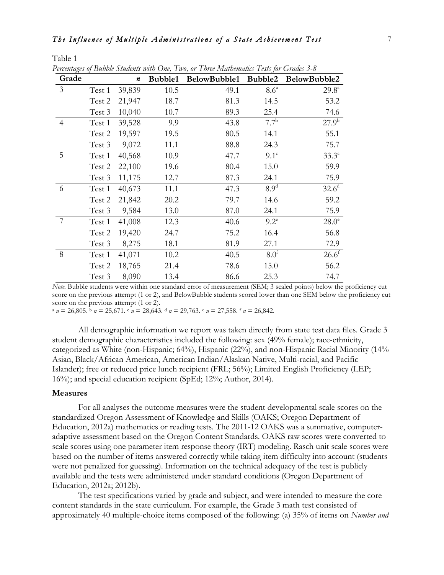| Grade          |        | $\boldsymbol{n}$ | Bubble1 | Percentages of Bubble Students with One, Two, or Three Mathematics Tests for Grades 3-8<br>BelowBubble1 | Bubble2          | BelowBubble2      |
|----------------|--------|------------------|---------|---------------------------------------------------------------------------------------------------------|------------------|-------------------|
| $\mathfrak{Z}$ | Test 1 | 39,839           | 10.5    | 49.1                                                                                                    | 8.6 <sup>a</sup> | $29.8^{\circ}$    |
|                | Test 2 | 21,947           | 18.7    | 81.3                                                                                                    | 14.5             | 53.2              |
|                | Test 3 | 10,040           | 10.7    | 89.3                                                                                                    | 25.4             | 74.6              |
| $\overline{4}$ | Test 1 | 39,528           | 9.9     | 43.8                                                                                                    | $7.7^{\rm b}$    | $27.9^{\rm b}$    |
|                | Test 2 | 19,597           | 19.5    | 80.5                                                                                                    | 14.1             | 55.1              |
|                | Test 3 | 9,072            | 11.1    | 88.8                                                                                                    | 24.3             | 75.7              |
| 5              | Test 1 | 40,568           | 10.9    | 47.7                                                                                                    | 9.1 <sup>c</sup> | $33.3^\circ$      |
|                | Test 2 | 22,100           | 19.6    | 80.4                                                                                                    | 15.0             | 59.9              |
|                | Test 3 | 11,175           | 12.7    | 87.3                                                                                                    | 24.1             | 75.9              |
| 6              | Test 1 | 40,673           | 11.1    | 47.3                                                                                                    | 8.9 <sup>d</sup> | 32.6 <sup>d</sup> |
|                | Test 2 | 21,842           | 20.2    | 79.7                                                                                                    | 14.6             | 59.2              |
|                | Test 3 | 9,584            | 13.0    | 87.0                                                                                                    | 24.1             | 75.9              |
| 7              | Test 1 | 41,008           | 12.3    | 40.6                                                                                                    | $9.2^e$          | $28.0^\circ$      |
|                | Test 2 | 19,420           | 24.7    | 75.2                                                                                                    | 16.4             | 56.8              |
|                | Test 3 | 8,275            | 18.1    | 81.9                                                                                                    | 27.1             | 72.9              |
| 8              | Test 1 | 41,071           | 10.2    | 40.5                                                                                                    | 8.0 <sup>f</sup> | $26.6^{\rm f}$    |
|                | Test 2 | 18,765           | 21.4    | 78.6                                                                                                    | 15.0             | 56.2              |
|                | Test 3 | 8,090            | 13.4    | 86.6                                                                                                    | 25.3             | 74.7              |

*Percentages of Bubble Students with One, Two, or Three Mathematics Tests for Grades 3-8*

*Note.* Bubble students were within one standard error of measurement (SEM; 3 scaled points) below the proficiency cut score on the previous attempt (1 or 2), and BelowBubble students scored lower than one SEM below the proficiency cut score on the previous attempt (1 or 2).

a  $n = 26,805$ . b  $n = 25,671$ . c  $n = 28,643$ . d  $n = 29,763$ . e  $n = 27,558$ . f  $n = 26,842$ .

All demographic information we report was taken directly from state test data files. Grade 3 student demographic characteristics included the following: sex (49% female); race-ethnicity, categorized as White (non-Hispanic; 64%), Hispanic (22%), and non-Hispanic Racial Minority (14% Asian, Black/African American, American Indian/Alaskan Native, Multi-racial, and Pacific Islander); free or reduced price lunch recipient (FRL; 56%); Limited English Proficiency (LEP; 16%); and special education recipient (SpEd; 12%; Author, 2014).

#### **Measures**

Table 1

For all analyses the outcome measures were the student developmental scale scores on the standardized Oregon Assessment of Knowledge and Skills (OAKS; Oregon Department of Education, 2012a) mathematics or reading tests. The 2011-12 OAKS was a summative, computeradaptive assessment based on the Oregon Content Standards. OAKS raw scores were converted to scale scores using one parameter item response theory (IRT) modeling. Rasch unit scale scores were based on the number of items answered correctly while taking item difficulty into account (students were not penalized for guessing). Information on the technical adequacy of the test is publicly available and the tests were administered under standard conditions (Oregon Department of Education, 2012a; 2012b).

The test specifications varied by grade and subject, and were intended to measure the core content standards in the state curriculum. For example, the Grade 3 math test consisted of approximately 40 multiple-choice items composed of the following: (a) 35% of items on *Number and*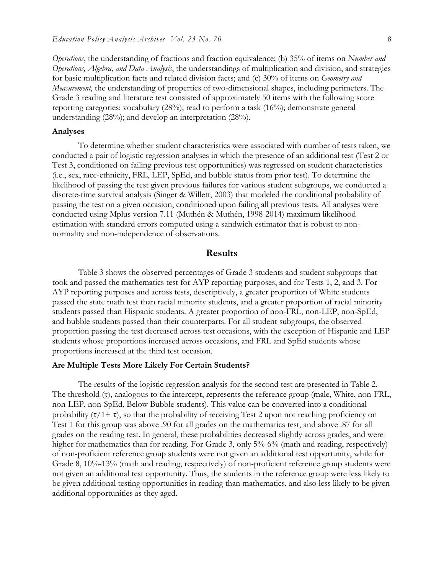*Operations*, the understanding of fractions and fraction equivalence; (b) 35% of items on *Number and Operations, Algebra, and Data Analysis*, the understandings of multiplication and division, and strategies for basic multiplication facts and related division facts; and (c) 30% of items on *Geometry and Measurement*, the understanding of properties of two-dimensional shapes, including perimeters. The Grade 3 reading and literature test consisted of approximately 50 items with the following score reporting categories: vocabulary (28%); read to perform a task (16%); demonstrate general understanding (28%); and develop an interpretation (28%).

## **Analyses**

To determine whether student characteristics were associated with number of tests taken, we conducted a pair of logistic regression analyses in which the presence of an additional test (Test 2 or Test 3, conditioned on failing previous test opportunities) was regressed on student characteristics (i.e., sex, race-ethnicity, FRL, LEP, SpEd, and bubble status from prior test). To determine the likelihood of passing the test given previous failures for various student subgroups, we conducted a discrete-time survival analysis (Singer & Willett, 2003) that modeled the conditional probability of passing the test on a given occasion, conditioned upon failing all previous tests. All analyses were conducted using Mplus version 7.11 (Muthén & Muthén, 1998-2014) maximum likelihood estimation with standard errors computed using a sandwich estimator that is robust to nonnormality and non-independence of observations.

## **Results**

Table 3 shows the observed percentages of Grade 3 students and student subgroups that took and passed the mathematics test for AYP reporting purposes, and for Tests 1, 2, and 3. For AYP reporting purposes and across tests, descriptively, a greater proportion of White students passed the state math test than racial minority students, and a greater proportion of racial minority students passed than Hispanic students. A greater proportion of non-FRL, non-LEP, non-SpEd, and bubble students passed than their counterparts. For all student subgroups, the observed proportion passing the test decreased across test occasions, with the exception of Hispanic and LEP students whose proportions increased across occasions, and FRL and SpEd students whose proportions increased at the third test occasion.

#### **Are Multiple Tests More Likely For Certain Students?**

The results of the logistic regression analysis for the second test are presented in Table 2. The threshold (τ), analogous to the intercept, represents the reference group (male, White, non-FRL, non-LEP, non-SpEd, Below Bubble students). This value can be converted into a conditional probability  $(\tau/1+\tau)$ , so that the probability of receiving Test 2 upon not reaching proficiency on Test 1 for this group was above .90 for all grades on the mathematics test, and above .87 for all grades on the reading test. In general, these probabilities decreased slightly across grades, and were higher for mathematics than for reading. For Grade 3, only 5%-6% (math and reading, respectively) of non-proficient reference group students were not given an additional test opportunity, while for Grade 8, 10%-13% (math and reading, respectively) of non-proficient reference group students were not given an additional test opportunity. Thus, the students in the reference group were less likely to be given additional testing opportunities in reading than mathematics, and also less likely to be given additional opportunities as they aged.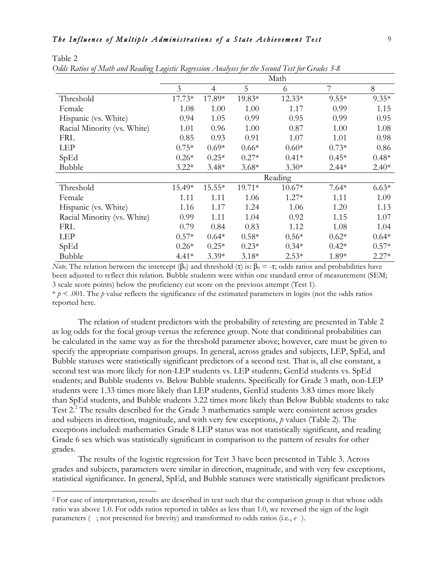| ⌒                           | ⌒<br>⌒<br>Math |                |         |          |         |         |
|-----------------------------|----------------|----------------|---------|----------|---------|---------|
|                             | 3              | $\overline{4}$ | 5       | 6        | 7       | 8       |
| Threshold                   | $17.73*$       | 17.89*         | 19.83*  | $12.33*$ | $9.55*$ | $9.35*$ |
| Female                      | 1.08           | 1.00           | 1.00    | 1.17     | 0.99    | 1.15    |
| Hispanic (vs. White)        | 0.94           | 1.05           | 0.99    | 0.95     | 0.99    | 0.95    |
| Racial Minority (vs. White) | 1.01           | 0.96           | 1.00    | 0.87     | 1.00    | 1.08    |
| FRL                         | 0.85           | 0.93           | 0.91    | 1.07     | 1.01    | 0.98    |
| LEP                         | $0.75*$        | $0.69*$        | $0.66*$ | $0.60*$  | $0.73*$ | 0.86    |
| SpEd                        | $0.26*$        | $0.25*$        | $0.27*$ | $0.41*$  | $0.45*$ | $0.48*$ |
| <b>Bubble</b>               | $3.22*$        | $3.48*$        | $3.68*$ | $3.30*$  | $2.44*$ | $2.40*$ |
|                             | Reading        |                |         |          |         |         |
| Threshold                   | 15.49*         | $15.55*$       | 19.71*  | $10.67*$ | $7.64*$ | $6.63*$ |
| Female                      | 1.11           | 1.11           | 1.06    | $1.27*$  | 1.11    | 1.09    |
| Hispanic (vs. White)        | 1.16           | 1.17           | 1.24    | 1.06     | 1.20    | 1.13    |
| Racial Minority (vs. White) | 0.99           | 1.11           | 1.04    | 0.92     | 1.15    | 1.07    |
| <b>FRL</b>                  | 0.79           | 0.84           | 0.83    | 1.12     | 1.08    | 1.04    |
| <b>LEP</b>                  | $0.57*$        | $0.64*$        | $0.58*$ | $0.56*$  | $0.62*$ | $0.64*$ |
| SpEd                        | $0.26*$        | $0.25*$        | $0.23*$ | $0.34*$  | $0.42*$ | $0.57*$ |
| <b>Bubble</b>               | $4.41*$        | $3.39*$        | $3.18*$ | $2.53*$  | 1.89*   | $2.27*$ |

Table 2 *Odds Ratios of Math and Reading Logistic Regression Analyses for the Second Test for Grades 3-8*

*Note.* The relation between the intercept  $(\beta_0)$  and threshold  $(\tau)$  is:  $\beta_0 = -\tau$ ; odds ratios and probabilities have been adjusted to reflect this relation. Bubble students were within one standard error of measurement (SEM; 3 scale score points) below the proficiency cut score on the previous attempt (Test 1).  $* p < .001$ . The *p* value reflects the significance of the estimated parameters in logits (not the odds ratios

reported here.

The relation of student predictors with the probability of retesting are presented in Table 2 as log odds for the focal group versus the reference group. Note that conditional probabilities can be calculated in the same way as for the threshold parameter above; however, care must be given to specify the appropriate comparison groups. In general, across grades and subjects, LEP, SpEd, and Bubble statuses were statistically significant predictors of a second test. That is, all else constant, a second test was more likely for non-LEP students vs. LEP students; GenEd students vs. SpEd students; and Bubble students vs. Below Bubble students. Specifically for Grade 3 math, non-LEP students were 1.33 times more likely than LEP students, GenEd students 3.83 times more likely than SpEd students, and Bubble students 3.22 times more likely than Below Bubble students to take Test 2<sup>2</sup>. The results described for the Grade 3 mathematics sample were consistent across grades and subjects in direction, magnitude, and with very few exceptions, *p* values (Table 2). The exceptions included: mathematics Grade 8 LEP status was not statistically significant, and reading Grade 6 sex which was statistically significant in comparison to the pattern of results for other grades.

The results of the logistic regression for Test 3 have been presented in Table 3. Across grades and subjects, parameters were similar in direction, magnitude, and with very few exceptions, statistical significance. In general, SpEd, and Bubble statuses were statistically significant predictors

<sup>2</sup> For ease of interpretation, results are described in text such that the comparison group is that whose odds ratio was above 1.0. For odds ratios reported in tables as less than 1.0, we reversed the sign of the logit parameters ( $\cdot$ ; not presented for brevity) and transformed to odds ratios (i.e.,  $\epsilon$ ).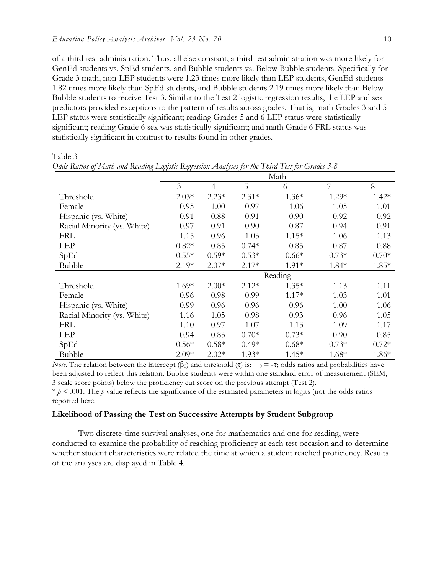of a third test administration. Thus, all else constant, a third test administration was more likely for GenEd students vs. SpEd students, and Bubble students vs. Below Bubble students. Specifically for Grade 3 math, non-LEP students were 1.23 times more likely than LEP students, GenEd students 1.82 times more likely than SpEd students, and Bubble students 2.19 times more likely than Below Bubble students to receive Test 3. Similar to the Test 2 logistic regression results, the LEP and sex predictors provided exceptions to the pattern of results across grades. That is, math Grades 3 and 5 LEP status were statistically significant; reading Grades 5 and 6 LEP status were statistically significant; reading Grade 6 sex was statistically significant; and math Grade 6 FRL status was statistically significant in contrast to results found in other grades.

Table 3

|                             | Math    |         |         |         |         |         |
|-----------------------------|---------|---------|---------|---------|---------|---------|
|                             | 3       | 4       | 5       | 6       | 7       | 8       |
| Threshold                   | $2.03*$ | $2.23*$ | $2.31*$ | $1.36*$ | $1.29*$ | $1.42*$ |
| Female                      | 0.95    | 1.00    | 0.97    | 1.06    | 1.05    | 1.01    |
| Hispanic (vs. White)        | 0.91    | 0.88    | 0.91    | 0.90    | 0.92    | 0.92    |
| Racial Minority (vs. White) | 0.97    | 0.91    | 0.90    | 0.87    | 0.94    | 0.91    |
| <b>FRL</b>                  | 1.15    | 0.96    | 1.03    | $1.15*$ | 1.06    | 1.13    |
| <b>LEP</b>                  | $0.82*$ | 0.85    | $0.74*$ | 0.85    | 0.87    | 0.88    |
| SpEd                        | $0.55*$ | $0.59*$ | $0.53*$ | $0.66*$ | $0.73*$ | $0.70*$ |
| <b>Bubble</b>               | $2.19*$ | $2.07*$ | $2.17*$ | 1.91*   | 1.84*   | $1.85*$ |
|                             |         |         |         | Reading |         |         |
| Threshold                   | $1.69*$ | $2.00*$ | $2.12*$ | $1.35*$ | 1.13    | 1.11    |
| Female                      | 0.96    | 0.98    | 0.99    | $1.17*$ | 1.03    | 1.01    |
| Hispanic (vs. White)        | 0.99    | 0.96    | 0.96    | 0.96    | 1.00    | 1.06    |
| Racial Minority (vs. White) | 1.16    | 1.05    | 0.98    | 0.93    | 0.96    | 1.05    |
| <b>FRL</b>                  | 1.10    | 0.97    | 1.07    | 1.13    | 1.09    | 1.17    |
| <b>LEP</b>                  | 0.94    | 0.83    | $0.70*$ | $0.73*$ | 0.90    | 0.85    |
| SpEd                        | $0.56*$ | $0.58*$ | $0.49*$ | $0.68*$ | $0.73*$ | $0.72*$ |
| <b>Bubble</b>               | $2.09*$ | $2.02*$ | $1.93*$ | $1.45*$ | $1.68*$ | 1.86*   |

*Odds Ratios of Math and Reading Logistic Regression Analyses for the Third Test for Grades 3-8*

*Note.* The relation between the intercept  $(\beta_0)$  and threshold  $(\tau)$  is:  $_0 = -\tau$ ; odds ratios and probabilities have been adjusted to reflect this relation. Bubble students were within one standard error of measurement (SEM; 3 scale score points) below the proficiency cut score on the previous attempt (Test 2).

 $* p < .001$ . The *p* value reflects the significance of the estimated parameters in logits (not the odds ratios reported here.

#### **Likelihood of Passing the Test on Successive Attempts by Student Subgroup**

Two discrete-time survival analyses, one for mathematics and one for reading, were conducted to examine the probability of reaching proficiency at each test occasion and to determine whether student characteristics were related the time at which a student reached proficiency. Results of the analyses are displayed in Table 4.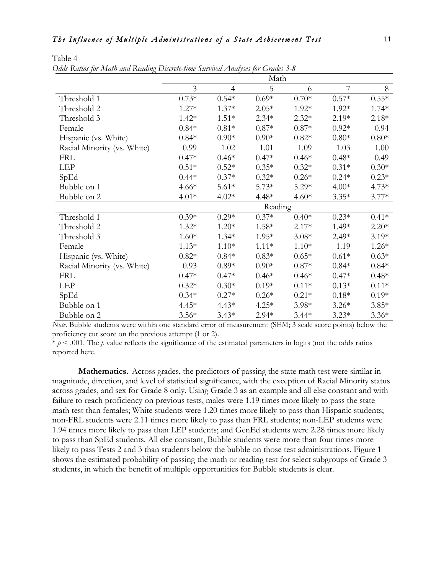|                             | Tuus Isahos joi Iviah) ana Isaanng Distrete-ume Survival Analyses joi Graacs 9-8<br>Math |                |         |         |         |         |  |  |
|-----------------------------|------------------------------------------------------------------------------------------|----------------|---------|---------|---------|---------|--|--|
|                             | 3                                                                                        | $\overline{4}$ | 5       | 6       | 7       | 8       |  |  |
| Threshold 1                 | $0.73*$                                                                                  | $0.54*$        | $0.69*$ | $0.70*$ | $0.57*$ | $0.55*$ |  |  |
| Threshold 2                 | $1.27*$                                                                                  | $1.37*$        | $2.05*$ | $1.92*$ | $1.92*$ | $1.74*$ |  |  |
| Threshold 3                 | $1.42*$                                                                                  | $1.51*$        | $2.34*$ | $2.32*$ | $2.19*$ | $2.18*$ |  |  |
| Female                      | $0.84*$                                                                                  | $0.81*$        | $0.87*$ | $0.87*$ | $0.92*$ | 0.94    |  |  |
| Hispanic (vs. White)        | $0.84*$                                                                                  | $0.90*$        | $0.90*$ | $0.82*$ | $0.80*$ | $0.80*$ |  |  |
| Racial Minority (vs. White) | 0.99                                                                                     | 1.02           | 1.01    | 1.09    | 1.03    | 1.00    |  |  |
| <b>FRL</b>                  | $0.47*$                                                                                  | $0.46*$        | $0.47*$ | $0.46*$ | $0.48*$ | 0.49    |  |  |
| LEP                         | $0.51*$                                                                                  | $0.52*$        | $0.35*$ | $0.32*$ | $0.31*$ | $0.30*$ |  |  |
| SpEd                        | $0.44*$                                                                                  | $0.37*$        | $0.32*$ | $0.26*$ | $0.24*$ | $0.23*$ |  |  |
| Bubble on 1                 | $4.66*$                                                                                  | $5.61*$        | $5.73*$ | $5.29*$ | $4.00*$ | $4.73*$ |  |  |
| Bubble on 2                 | $4.01*$                                                                                  | $4.02*$        | $4.48*$ | $4.60*$ | $3.35*$ | $3.77*$ |  |  |
|                             | Reading                                                                                  |                |         |         |         |         |  |  |
| Threshold 1                 | $0.39*$                                                                                  | $0.29*$        | $0.37*$ | $0.40*$ | $0.23*$ | $0.41*$ |  |  |
| Threshold 2                 | $1.32*$                                                                                  | $1.20*$        | $1.58*$ | $2.17*$ | $1.49*$ | $2.20*$ |  |  |
| Threshold 3                 | $1.60*$                                                                                  | $1.34*$        | $1.95*$ | $3.08*$ | $2.49*$ | $3.19*$ |  |  |
| Female                      | $1.13*$                                                                                  | $1.10*$        | $1.11*$ | $1.10*$ | 1.19    | $1.26*$ |  |  |
| Hispanic (vs. White)        | $0.82*$                                                                                  | $0.84*$        | $0.83*$ | $0.65*$ | $0.61*$ | $0.63*$ |  |  |
| Racial Minority (vs. White) | 0.93                                                                                     | $0.89*$        | $0.90*$ | $0.87*$ | $0.84*$ | $0.84*$ |  |  |
| <b>FRL</b>                  | $0.47*$                                                                                  | $0.47*$        | $0.46*$ | $0.46*$ | $0.47*$ | $0.48*$ |  |  |
| LEP                         | $0.32*$                                                                                  | $0.30*$        | $0.19*$ | $0.11*$ | $0.13*$ | $0.11*$ |  |  |
| SpEd                        | $0.34*$                                                                                  | $0.27*$        | $0.26*$ | $0.21*$ | $0.18*$ | $0.19*$ |  |  |
| Bubble on 1                 | $4.45*$                                                                                  | $4.43*$        | $4.25*$ | $3.98*$ | $3.26*$ | $3.85*$ |  |  |
| Bubble on 2                 | $3.56*$                                                                                  | $3.43*$        | $2.94*$ | $3.44*$ | $3.23*$ | $3.36*$ |  |  |

Table 4 *Odds Ratios for Math and Reading Discrete-time Survival Analyses for Grades 3-8*

*Note.* Bubble students were within one standard error of measurement (SEM; 3 scale score points) below the proficiency cut score on the previous attempt (1 or 2).

 $* p \lt 0.001$ . The *p* value reflects the significance of the estimated parameters in logits (not the odds ratios reported here.

**Mathematics***.* Across grades, the predictors of passing the state math test were similar in magnitude, direction, and level of statistical significance, with the exception of Racial Minority status across grades, and sex for Grade 8 only. Using Grade 3 as an example and all else constant and with failure to reach proficiency on previous tests, males were 1.19 times more likely to pass the state math test than females; White students were 1.20 times more likely to pass than Hispanic students; non-FRL students were 2.11 times more likely to pass than FRL students; non-LEP students were 1.94 times more likely to pass than LEP students; and GenEd students were 2.28 times more likely to pass than SpEd students. All else constant, Bubble students were more than four times more likely to pass Tests 2 and 3 than students below the bubble on those test administrations. Figure 1 shows the estimated probability of passing the math or reading test for select subgroups of Grade 3 students, in which the benefit of multiple opportunities for Bubble students is clear.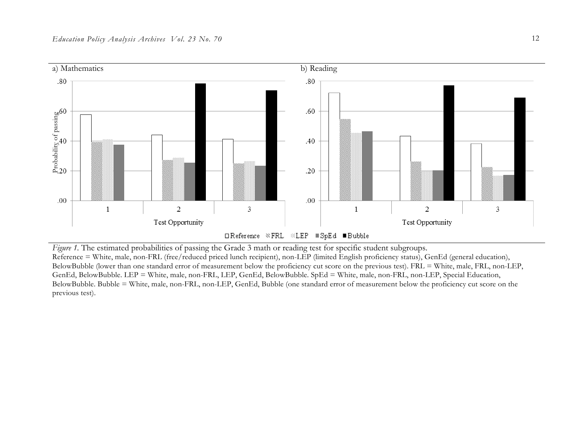

*Figure 1.* The estimated probabilities of passing the Grade 3 math or reading test for specific student subgroups. Reference = White, male, non-FRL (free/reduced priced lunch recipient), non-LEP (limited English proficiency status), GenEd (general education), BelowBubble (lower than one standard error of measurement below the proficiency cut score on the previous test). FRL = White, male, FRL, non-LEP, GenEd, BelowBubble. LEP = White, male, non-FRL, LEP, GenEd, BelowBubble. SpEd = White, male, non-FRL, non-LEP, Special Education, BelowBubble. Bubble = White, male, non-FRL, non-LEP, GenEd, Bubble (one standard error of measurement below the proficiency cut score on the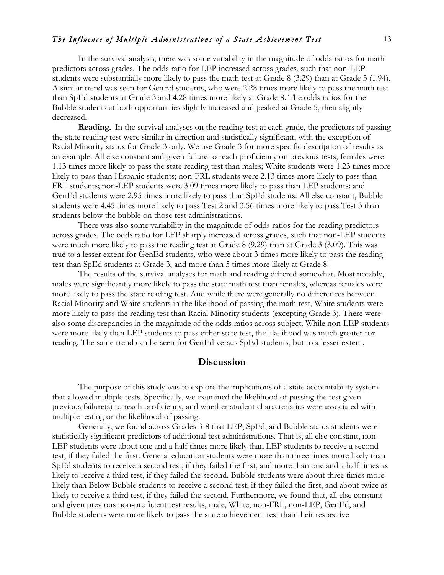In the survival analysis, there was some variability in the magnitude of odds ratios for math predictors across grades. The odds ratio for LEP increased across grades, such that non-LEP students were substantially more likely to pass the math test at Grade 8 (3.29) than at Grade 3 (1.94). A similar trend was seen for GenEd students, who were 2.28 times more likely to pass the math test than SpEd students at Grade 3 and 4.28 times more likely at Grade 8. The odds ratios for the Bubble students at both opportunities slightly increased and peaked at Grade 5, then slightly decreased.

**Reading***.* In the survival analyses on the reading test at each grade, the predictors of passing the state reading test were similar in direction and statistically significant, with the exception of Racial Minority status for Grade 3 only. We use Grade 3 for more specific description of results as an example. All else constant and given failure to reach proficiency on previous tests, females were 1.13 times more likely to pass the state reading test than males; White students were 1.23 times more likely to pass than Hispanic students; non-FRL students were 2.13 times more likely to pass than FRL students; non-LEP students were 3.09 times more likely to pass than LEP students; and GenEd students were 2.95 times more likely to pass than SpEd students. All else constant, Bubble students were 4.45 times more likely to pass Test 2 and 3.56 times more likely to pass Test 3 than students below the bubble on those test administrations.

There was also some variability in the magnitude of odds ratios for the reading predictors across grades. The odds ratio for LEP sharply increased across grades, such that non-LEP students were much more likely to pass the reading test at Grade 8 (9.29) than at Grade 3 (3.09). This was true to a lesser extent for GenEd students, who were about 3 times more likely to pass the reading test than SpEd students at Grade 3, and more than 5 times more likely at Grade 8.

The results of the survival analyses for math and reading differed somewhat. Most notably, males were significantly more likely to pass the state math test than females, whereas females were more likely to pass the state reading test. And while there were generally no differences between Racial Minority and White students in the likelihood of passing the math test, White students were more likely to pass the reading test than Racial Minority students (excepting Grade 3). There were also some discrepancies in the magnitude of the odds ratios across subject. While non-LEP students were more likely than LEP students to pass either state test, the likelihood was much greater for reading. The same trend can be seen for GenEd versus SpEd students, but to a lesser extent.

## **Discussion**

The purpose of this study was to explore the implications of a state accountability system that allowed multiple tests. Specifically, we examined the likelihood of passing the test given previous failure(s) to reach proficiency, and whether student characteristics were associated with multiple testing or the likelihood of passing.

Generally, we found across Grades 3-8 that LEP, SpEd, and Bubble status students were statistically significant predictors of additional test administrations. That is, all else constant, non-LEP students were about one and a half times more likely than LEP students to receive a second test, if they failed the first. General education students were more than three times more likely than SpEd students to receive a second test, if they failed the first, and more than one and a half times as likely to receive a third test, if they failed the second. Bubble students were about three times more likely than Below Bubble students to receive a second test, if they failed the first, and about twice as likely to receive a third test, if they failed the second. Furthermore, we found that, all else constant and given previous non-proficient test results, male, White, non-FRL, non-LEP, GenEd, and Bubble students were more likely to pass the state achievement test than their respective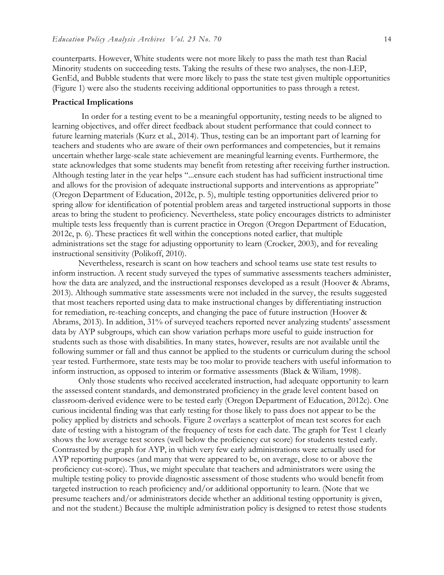counterparts. However, White students were not more likely to pass the math test than Racial Minority students on succeeding tests. Taking the results of these two analyses, the non-LEP, GenEd, and Bubble students that were more likely to pass the state test given multiple opportunities (Figure 1) were also the students receiving additional opportunities to pass through a retest.

#### **Practical Implications**

In order for a testing event to be a meaningful opportunity, testing needs to be aligned to learning objectives, and offer direct feedback about student performance that could connect to future learning materials (Kurz et al., 2014). Thus, testing can be an important part of learning for teachers and students who are aware of their own performances and competencies, but it remains uncertain whether large-scale state achievement are meaningful learning events. Furthermore, the state acknowledges that some students may benefit from retesting after receiving further instruction. Although testing later in the year helps "...ensure each student has had sufficient instructional time and allows for the provision of adequate instructional supports and interventions as appropriate" (Oregon Department of Education, 2012c, p. 5), multiple testing opportunities delivered prior to spring allow for identification of potential problem areas and targeted instructional supports in those areas to bring the student to proficiency. Nevertheless, state policy encourages districts to administer multiple tests less frequently than is current practice in Oregon (Oregon Department of Education, 2012c, p. 6). These practices fit well within the conceptions noted earlier, that multiple administrations set the stage for adjusting opportunity to learn (Crocker, 2003), and for revealing instructional sensitivity (Polikoff, 2010).

Nevertheless, research is scant on how teachers and school teams use state test results to inform instruction. A recent study surveyed the types of summative assessments teachers administer, how the data are analyzed, and the instructional responses developed as a result (Hoover & Abrams, 2013). Although summative state assessments were not included in the survey, the results suggested that most teachers reported using data to make instructional changes by differentiating instruction for remediation, re-teaching concepts, and changing the pace of future instruction (Hoover & Abrams, 2013). In addition, 31% of surveyed teachers reported never analyzing students' assessment data by AYP subgroups, which can show variation perhaps more useful to guide instruction for students such as those with disabilities. In many states, however, results are not available until the following summer or fall and thus cannot be applied to the students or curriculum during the school year tested. Furthermore, state tests may be too molar to provide teachers with useful information to inform instruction, as opposed to interim or formative assessments (Black & Wiliam, 1998).

Only those students who received accelerated instruction, had adequate opportunity to learn the assessed content standards, and demonstrated proficiency in the grade level content based on classroom-derived evidence were to be tested early (Oregon Department of Education, 2012c). One curious incidental finding was that early testing for those likely to pass does not appear to be the policy applied by districts and schools. Figure 2 overlays a scatterplot of mean test scores for each date of testing with a histogram of the frequency of tests for each date. The graph for Test 1 clearly shows the low average test scores (well below the proficiency cut score) for students tested early. Contrasted by the graph for AYP, in which very few early administrations were actually used for AYP reporting purposes (and many that were appeared to be, on average, close to or above the proficiency cut-score). Thus, we might speculate that teachers and administrators were using the multiple testing policy to provide diagnostic assessment of those students who would benefit from targeted instruction to reach proficiency and/or additional opportunity to learn. (Note that we presume teachers and/or administrators decide whether an additional testing opportunity is given, and not the student.) Because the multiple administration policy is designed to retest those students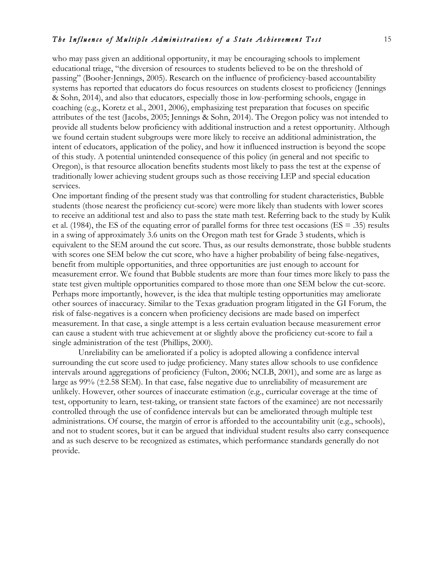who may pass given an additional opportunity, it may be encouraging schools to implement educational triage, "the diversion of resources to students believed to be on the threshold of passing" (Booher-Jennings, 2005). Research on the influence of proficiency-based accountability systems has reported that educators do focus resources on students closest to proficiency (Jennings & Sohn, 2014), and also that educators, especially those in low-performing schools, engage in coaching (e.g., Koretz et al., 2001, 2006), emphasizing test preparation that focuses on specific attributes of the test (Jacobs, 2005; Jennings & Sohn, 2014). The Oregon policy was not intended to provide all students below proficiency with additional instruction and a retest opportunity. Although we found certain student subgroups were more likely to receive an additional administration, the intent of educators, application of the policy, and how it influenced instruction is beyond the scope of this study. A potential unintended consequence of this policy (in general and not specific to Oregon), is that resource allocation benefits students most likely to pass the test at the expense of traditionally lower achieving student groups such as those receiving LEP and special education services.

One important finding of the present study was that controlling for student characteristics, Bubble students (those nearest the proficiency cut-score) were more likely than students with lower scores to receive an additional test and also to pass the state math test. Referring back to the study by Kulik et al. (1984), the ES of the equating error of parallel forms for three test occasions (ES = .35) results in a swing of approximately 3.6 units on the Oregon math test for Grade 3 students, which is equivalent to the SEM around the cut score. Thus, as our results demonstrate, those bubble students with scores one SEM below the cut score, who have a higher probability of being false-negatives, benefit from multiple opportunities, and three opportunities are just enough to account for measurement error. We found that Bubble students are more than four times more likely to pass the state test given multiple opportunities compared to those more than one SEM below the cut-score. Perhaps more importantly, however, is the idea that multiple testing opportunities may ameliorate other sources of inaccuracy. Similar to the Texas graduation program litigated in the GI Forum, the risk of false-negatives is a concern when proficiency decisions are made based on imperfect measurement. In that case, a single attempt is a less certain evaluation because measurement error can cause a student with true achievement at or slightly above the proficiency cut-score to fail a single administration of the test (Phillips, 2000).

Unreliability can be ameliorated if a policy is adopted allowing a confidence interval surrounding the cut score used to judge proficiency. Many states allow schools to use confidence intervals around aggregations of proficiency (Fulton, 2006; NCLB, 2001), and some are as large as large as 99% (±2.58 SEM). In that case, false negative due to unreliability of measurement are unlikely. However, other sources of inaccurate estimation (e.g., curricular coverage at the time of test, opportunity to learn, test-taking, or transient state factors of the examinee) are not necessarily controlled through the use of confidence intervals but can be ameliorated through multiple test administrations. Of course, the margin of error is afforded to the accountability unit (e.g., schools), and not to student scores, but it can be argued that individual student results also carry consequence and as such deserve to be recognized as estimates, which performance standards generally do not provide.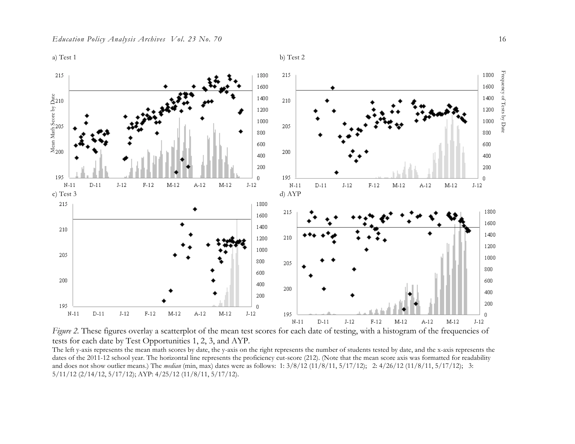







The left y-axis represents the mean math scores by date, the y-axis on the right represents the number of students tested by date, and the x-axis represents the dates of the 2011-12 school year. The horizontal line represents the proficiency cut-score (212). (Note that the mean score axis was formatted for readability and does not show outlier means.) The *median* (min, max) dates were as follows: 1:  $3/8/12$  (11/8/11,  $5/17/12$ ); 2:  $4/26/12$  (11/8/11,  $5/17/12$ ); 3:  $5/11/12$  (2/14/12,  $5/17/12$ ); AYP:  $4/25/12$  (11/8/11,  $5/17/12$ ).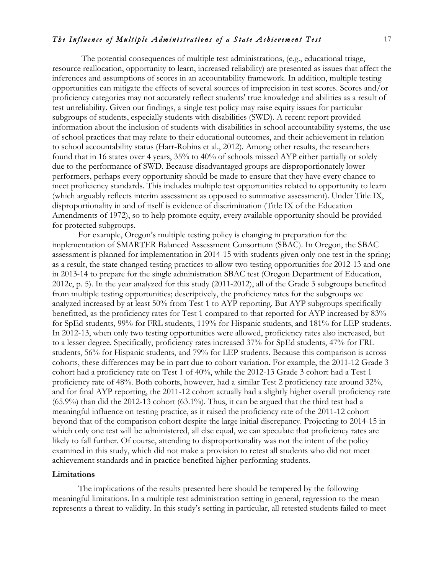The potential consequences of multiple test administrations, (e.g., educational triage, resource reallocation, opportunity to learn, increased reliability) are presented as issues that affect the inferences and assumptions of scores in an accountability framework. In addition, multiple testing opportunities can mitigate the effects of several sources of imprecision in test scores. Scores and/or proficiency categories may not accurately reflect students' true knowledge and abilities as a result of test unreliability. Given our findings, a single test policy may raise equity issues for particular subgroups of students, especially students with disabilities (SWD). A recent report provided information about the inclusion of students with disabilities in school accountability systems, the use of school practices that may relate to their educational outcomes, and their achievement in relation to school accountability status (Harr-Robins et al., 2012). Among other results, the researchers found that in 16 states over 4 years, 35% to 40% of schools missed AYP either partially or solely due to the performance of SWD. Because disadvantaged groups are disproportionately lower performers, perhaps every opportunity should be made to ensure that they have every chance to meet proficiency standards. This includes multiple test opportunities related to opportunity to learn (which arguably reflects interim assessment as opposed to summative assessment). Under Title IX, disproportionality in and of itself is evidence of discrimination (Title IX of the Education Amendments of 1972), so to help promote equity, every available opportunity should be provided for protected subgroups.

For example, Oregon's multiple testing policy is changing in preparation for the implementation of SMARTER Balanced Assessment Consortium (SBAC). In Oregon, the SBAC assessment is planned for implementation in 2014-15 with students given only one test in the spring; as a result, the state changed testing practices to allow two testing opportunities for 2012-13 and one in 2013-14 to prepare for the single administration SBAC test (Oregon Department of Education, 2012c, p. 5). In the year analyzed for this study (2011-2012), all of the Grade 3 subgroups benefited from multiple testing opportunities; descriptively, the proficiency rates for the subgroups we analyzed increased by at least 50% from Test 1 to AYP reporting. But AYP subgroups specifically benefitted, as the proficiency rates for Test 1 compared to that reported for AYP increased by 83% for SpEd students, 99% for FRL students, 119% for Hispanic students, and 181% for LEP students. In 2012-13, when only two testing opportunities were allowed, proficiency rates also increased, but to a lesser degree. Specifically, proficiency rates increased 37% for SpEd students, 47% for FRL students, 56% for Hispanic students, and 79% for LEP students. Because this comparison is across cohorts, these differences may be in part due to cohort variation. For example, the 2011-12 Grade 3 cohort had a proficiency rate on Test 1 of 40%, while the 2012-13 Grade 3 cohort had a Test 1 proficiency rate of 48%. Both cohorts, however, had a similar Test 2 proficiency rate around 32%, and for final AYP reporting, the 2011-12 cohort actually had a slightly higher overall proficiency rate  $(65.9\%)$  than did the 2012-13 cohort  $(63.1\%)$ . Thus, it can be argued that the third test had a meaningful influence on testing practice, as it raised the proficiency rate of the 2011-12 cohort beyond that of the comparison cohort despite the large initial discrepancy. Projecting to 2014-15 in which only one test will be administered, all else equal, we can speculate that proficiency rates are likely to fall further. Of course, attending to disproportionality was not the intent of the policy examined in this study, which did not make a provision to retest all students who did not meet achievement standards and in practice benefited higher-performing students.

#### **Limitations**

The implications of the results presented here should be tempered by the following meaningful limitations. In a multiple test administration setting in general, regression to the mean represents a threat to validity. In this study's setting in particular, all retested students failed to meet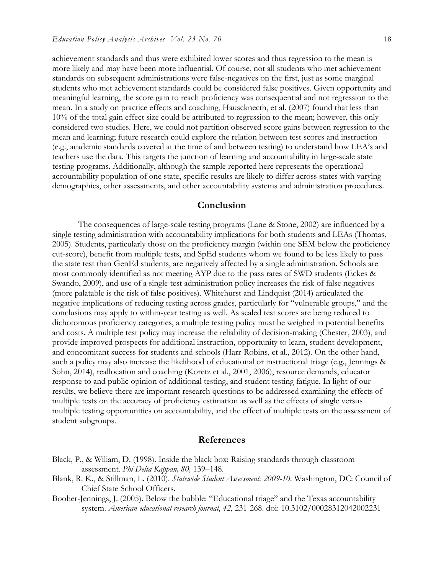achievement standards and thus were exhibited lower scores and thus regression to the mean is more likely and may have been more influential. Of course, not all students who met achievement standards on subsequent administrations were false-negatives on the first, just as some marginal students who met achievement standards could be considered false positives. Given opportunity and meaningful learning, the score gain to reach proficiency was consequential and not regression to the mean. In a study on practice effects and coaching, Hauscknecth, et al. (2007) found that less than 10% of the total gain effect size could be attributed to regression to the mean; however, this only considered two studies. Here, we could not partition observed score gains between regression to the mean and learning; future research could explore the relation between test scores and instruction (e.g., academic standards covered at the time of and between testing) to understand how LEA's and teachers use the data. This targets the junction of learning and accountability in large-scale state testing programs. Additionally, although the sample reported here represents the operational accountability population of one state, specific results are likely to differ across states with varying demographics, other assessments, and other accountability systems and administration procedures.

## **Conclusion**

The consequences of large-scale testing programs (Lane & Stone, 2002) are influenced by a single testing administration with accountability implications for both students and LEAs (Thomas, 2005). Students, particularly those on the proficiency margin (within one SEM below the proficiency cut-score), benefit from multiple tests, and SpEd students whom we found to be less likely to pass the state test than GenEd students, are negatively affected by a single administration. Schools are most commonly identified as not meeting AYP due to the pass rates of SWD students (Eckes & Swando, 2009), and use of a single test administration policy increases the risk of false negatives (more palatable is the risk of false positives). Whitehurst and Lindquist (2014) articulated the negative implications of reducing testing across grades, particularly for "vulnerable groups," and the conclusions may apply to within-year testing as well. As scaled test scores are being reduced to dichotomous proficiency categories, a multiple testing policy must be weighed in potential benefits and costs. A multiple test policy may increase the reliability of decision-making (Chester, 2003), and provide improved prospects for additional instruction, opportunity to learn, student development, and concomitant success for students and schools (Harr-Robins, et al., 2012). On the other hand, such a policy may also increase the likelihood of educational or instructional triage (e.g., Jennings & Sohn, 2014), reallocation and coaching (Koretz et al., 2001, 2006), resource demands, educator response to and public opinion of additional testing, and student testing fatigue. In light of our results, we believe there are important research questions to be addressed examining the effects of multiple tests on the accuracy of proficiency estimation as well as the effects of single versus multiple testing opportunities on accountability, and the effect of multiple tests on the assessment of student subgroups.

## **References**

- Black, P., & Wiliam, D. (1998). Inside the black box: Raising standards through classroom assessment. *Phi Delta Kappan, 80,* 139–148.
- Blank, R. K., & Stillman, L. (2010). *Statewide Student Assessment: 2009-10*. Washington, DC: Council of Chief State School Officers.
- Booher-Jennings, J. (2005). Below the bubble: "Educational triage" and the Texas accountability system. *American educational research journal*, *42*, 231-268. doi: 10.3102/00028312042002231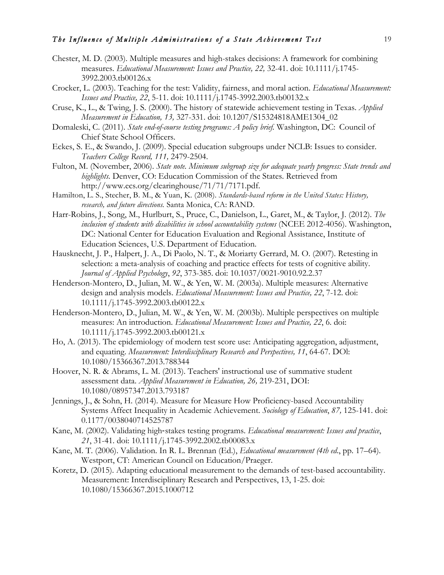- Chester, M. D. (2003). Multiple measures and high-stakes decisions: A framework for combining measures. *Educational Measurement: Issues and Practice, 22,* 32-41. doi: 10.1111/j.1745- 3992.2003.tb00126.x
- Crocker, L. (2003). Teaching for the test: Validity, fairness, and moral action. *Educational Measurement: Issues and Practice, 22*, 5-11. doi: 10.1111/j.1745-3992.2003.tb00132.x
- Cruse, K., L., & Twing, J. S. (2000). The history of statewide achievement testing in Texas. *Applied Measurement in Education, 13,* 327-331. doi: 10.1207/S15324818AME1304\_02
- Domaleski, C. (2011). *State end-of-course testing programs: A policy brief.* Washington, DC: Council of Chief State School Officers.
- Eckes, S. E., & Swando, J. (2009). Special education subgroups under NCLB: Issues to consider. *Teachers College Record, 111,* 2479-2504.
- Fulton, M. (November, 2006). *State note. Minimum subgroup size for adequate yearly progress: State trends and highlights.* Denver, CO: Education Commission of the States. Retrieved from http://www.ecs.org/clearinghouse/71/71/7171.pdf.
- Hamilton, L. S., Stecher, B. M., & Yuan, K. (2008). *Standards-based reform in the United States: History, research, and future directions.* Santa Monica, CA: RAND.
- Harr-Robins, J., Song, M., Hurlburt, S., Pruce, C., Danielson, L., Garet, M., & Taylor, J. (2012). *The inclusion of students with disabilities in school accountability systems* (NCEE 2012-4056). Washington, DC: National Center for Education Evaluation and Regional Assistance, Institute of Education Sciences, U.S. Department of Education.
- Hausknecht, J. P., Halpert, J. A., Di Paolo, N. T., & Moriarty Gerrard, M. O. (2007). Retesting in selection: a meta-analysis of coaching and practice effects for tests of cognitive ability. *Journal of Applied Psychology*, *92*, 373-385. doi: 10.1037/0021-9010.92.2.37
- Henderson-Montero, D., Julian, M. W., & Yen, W. M. (2003a). Multiple measures: Alternative design and analysis models. *Educational Measurement: Issues and Practice, 22*, 7-12. doi: 10.1111/j.1745-3992.2003.tb00122.x
- Henderson-Montero, D., Julian, M. W., & Yen, W. M. (2003b). Multiple perspectives on multiple measures: An introduction. *Educational Measurement: Issues and Practice, 22*, 6. doi: 10.1111/j.1745-3992.2003.tb00121.x
- Ho, A. (2013). The epidemiology of modern test score use: Anticipating aggregation, adjustment, and equating. *Measurement: Interdisciplinary Research and Perspectives, 11*, 64-67. DOl: 10.1080/15366367.2013.788344
- Hoover, N. R. & Abrams, L. M. (2013). Teachers' instructional use of summative student assessment data. *Applied Measurement in Education, 26,* 219-231, DOI: 10.1080/08957347.2013.793187
- Jennings, J., & Sohn, H. (2014). Measure for Measure How Proficiency-based Accountability Systems Affect Inequality in Academic Achievement. *Sociology of Education*, *87,* 125-141. doi: 0.1177/0038040714525787
- Kane, M. (2002). Validating high-stakes testing programs. *Educational measurement: Issues and practice*, *21*, 31-41. doi: 10.1111/j.1745-3992.2002.tb00083.x
- Kane, M. T. (2006). Validation. In R. L. Brennan (Ed.), *Educational measurement (4th ed*., pp. 17–64). Westport, CT: American Council on Education/Praeger.
- Koretz, D. (2015). Adapting educational measurement to the demands of test-based accountability. Measurement: Interdisciplinary Research and Perspectives, 13, 1-25. doi: 10.1080/15366367.2015.1000712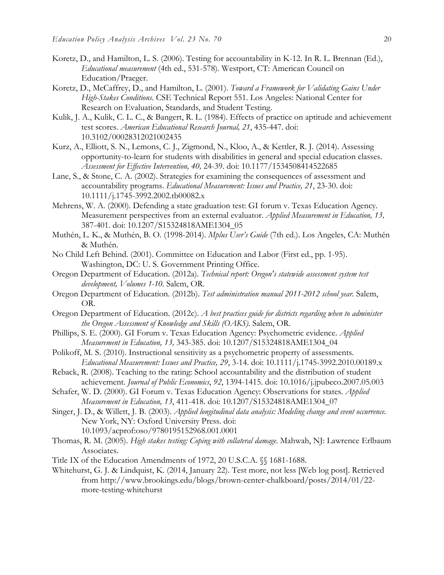- Koretz, D., and Hamilton, L. S. (2006). Testing for accountability in K-12. In R. L. Brennan (Ed.), *Educational measurement* (4th ed., 531-578). Westport, CT: American Council on Education/Praeger.
- Koretz, D., McCaffrey, D., and Hamilton, L. (2001). *Toward a Framework for Validating Gains Under High-Stakes Conditions*. CSE Technical Report 551. Los Angeles: National Center for Research on Evaluation, Standards, and Student Testing.
- Kulik, J. A., Kulik, C. L. C., & Bangert, R. L. (1984). Effects of practice on aptitude and achievement test scores. *American Educational Research Journal, 21*, 435-447. doi: 10.3102/00028312021002435
- Kurz, A., Elliott, S. N., Lemons, C. J., Zigmond, N., Kloo, A., & Kettler, R. J. (2014). Assessing opportunity-to-learn for students with disabilities in general and special education classes. *Assessment for Effective Intervention, 40,* 24-39. doi: 10.1177/1534508414522685
- Lane, S., & Stone, C. A. (2002). Strategies for examining the consequences of assessment and accountability programs. *Educational Measurement: Issues and Practice, 21*, 23-30. doi: 10.1111/j.1745-3992.2002.tb00082.x
- Mehrens, W. A. (2000). Defending a state graduation test: GI forum v. Texas Education Agency. Measurement perspectives from an external evaluator. *Applied Measurement in Education, 13,*  387-401. doi: 10.1207/S15324818AME1304\_05
- Muthén, L. K., & Muthén, B. O. (1998-2014). *Mplus User's Guide* (7th ed.). Los Angeles, CA: Muthén & Muthén.
- No Child Left Behind. (2001). Committee on Education and Labor (First ed., pp. 1-95). Washington, DC: U. S. Government Printing Office.
- Oregon Department of Education. (2012a). *Technical report: Oregon's statewide assessment system test development, Volumes 1-10.* Salem, OR.
- Oregon Department of Education. (2012b). *Test administration manual 2011-2012 school year.* Salem, OR.
- Oregon Department of Education. (2012c). *A best practices guide for districts regarding when to administer the Oregon Assessment of Knowledge and Skills (OAKS).* Salem, OR.
- Phillips, S. E. (2000). GI Forum v. Texas Education Agency: Psychometric evidence. *Applied Measurement in Education, 13,* 343-385. doi: 10.1207/S15324818AME1304\_04
- Polikoff, M. S. (2010). Instructional sensitivity as a psychometric property of assessments. *Educational Measurement: Issues and Practice, 29*, 3-14. doi: 10.1111/j.1745-3992.2010.00189.x
- Reback, R. (2008). Teaching to the rating: School accountability and the distribution of student achievement. *Journal of Public Economics*, *92*, 1394-1415. doi: 10.1016/j.jpubeco.2007.05.003
- Schafer, W. D. (2000). GI Forum v. Texas Education Agency: Observations for states. *Applied Measurement in Education, 13*, 411-418. doi: 10.1207/S15324818AME1304\_07
- Singer, J. D., & Willett, J. B. (2003). *Applied longitudinal data analysis: Modeling change and event occurrence.* New York, NY: Oxford University Press. doi: 10.1093/acprof:oso/9780195152968.001.0001
- Thomas, R. M. (2005). *High stakes testing: Coping with collateral damage*. Mahwah, NJ: Lawrence Erlbaum Associates.
- Title IX of the Education Amendments of 1972, 20 U.S.C.A.  $\%$  1681-1688.
- Whitehurst, G. J. & Lindquist, K. (2014, January 22). Test more, not less [Web log post]. Retrieved from http://www.brookings.edu/blogs/brown-center-chalkboard/posts/2014/01/22 more-testing-whitehurst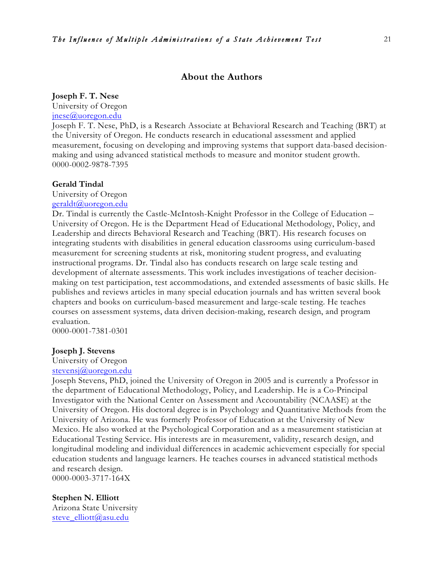## **About the Authors**

#### **Joseph F. T. Nese**

University of Oregon jnese@uoregon.edu

Joseph F. T. Nese, PhD, is a Research Associate at Behavioral Research and Teaching (BRT) at the University of Oregon. He conducts research in educational assessment and applied measurement, focusing on developing and improving systems that support data-based decisionmaking and using advanced statistical methods to measure and monitor student growth. 0000-0002-9878-7395

#### **Gerald Tindal**

University of Oregon

geraldt@uoregon.edu

Dr. Tindal is currently the Castle-McIntosh-Knight Professor in the College of Education – University of Oregon. He is the Department Head of Educational Methodology, Policy, and Leadership and directs Behavioral Research and Teaching (BRT). His research focuses on integrating students with disabilities in general education classrooms using curriculum-based measurement for screening students at risk, monitoring student progress, and evaluating instructional programs. Dr. Tindal also has conducts research on large scale testing and development of alternate assessments. This work includes investigations of teacher decisionmaking on test participation, test accommodations, and extended assessments of basic skills. He publishes and reviews articles in many special education journals and has written several book chapters and books on curriculum-based measurement and large-scale testing. He teaches courses on assessment systems, data driven decision-making, research design, and program evaluation.

0000-0001-7381-0301

#### **Joseph J. Stevens**

University of Oregon

## stevensj@uoregon.edu

Joseph Stevens, PhD, joined the University of Oregon in 2005 and is currently a Professor in the department of Educational Methodology, Policy, and Leadership. He is a Co-Principal Investigator with the National Center on Assessment and Accountability (NCAASE) at the University of Oregon. His doctoral degree is in Psychology and Quantitative Methods from the University of Arizona. He was formerly Professor of Education at the University of New Mexico. He also worked at the Psychological Corporation and as a measurement statistician at Educational Testing Service. His interests are in measurement, validity, research design, and longitudinal modeling and individual differences in academic achievement especially for special education students and language learners. He teaches courses in advanced statistical methods and research design.

0000-0003-3717-164X

#### **Stephen N. Elliott**

Arizona State University steve\_elliott@asu.edu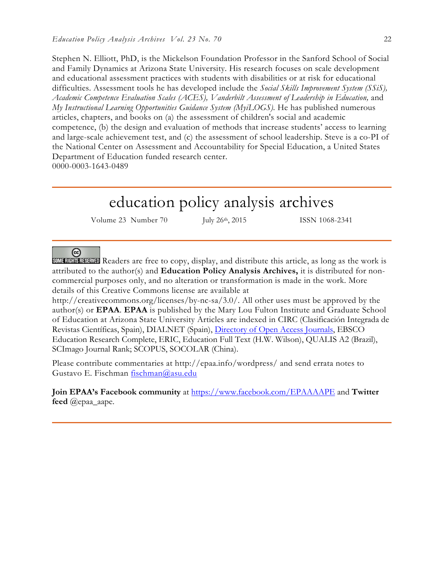Stephen N. Elliott, PhD, is the Mickelson Foundation Professor in the Sanford School of Social and Family Dynamics at Arizona State University. His research focuses on scale development and educational assessment practices with students with disabilities or at risk for educational difficulties. Assessment tools he has developed include the *Social Skills Improvement System (SSiS), Academic Competence Evaluation Scales (ACES), Vanderbilt Assessment of Leadership in Education,* and *My Instructional Learning Opportunities Guidance System (MyiLOGS).* He has published numerous articles, chapters, and books on (a) the assessment of children's social and academic competence, (b) the design and evaluation of methods that increase students' access to learning and large-scale achievement test, and (c) the assessment of school leadership. Steve is a co-PI of the National Center on Assessment and Accountability for Special Education, a United States Department of Education funded research center. 0000-0003-1643-0489

## education policy analysis archives

Volume 23 Number 70 July 26th, 2015 ISSN 1068-2341

@

SOME RIGHTS RESERVED Readers are free to copy, display, and distribute this article, as long as the work is attributed to the author(s) and **Education Policy Analysis Archives,** it is distributed for noncommercial purposes only, and no alteration or transformation is made in the work. More details of this Creative Commons license are available at

http://creativecommons.org/licenses/by-nc-sa/3.0/. All other uses must be approved by the author(s) or **EPAA**. **EPAA** is published by the Mary Lou Fulton Institute and Graduate School of Education at Arizona State University Articles are indexed in CIRC (Clasificación Integrada de Revistas Científicas, Spain), DIALNET (Spain), Directory of Open Access Journals, EBSCO Education Research Complete, ERIC, Education Full Text (H.W. Wilson), QUALIS A2 (Brazil), SCImago Journal Rank; SCOPUS, SOCOLAR (China).

Please contribute commentaries at http://epaa.info/wordpress/ and send errata notes to Gustavo E. Fischman fischman@asu.edu

**Join EPAA's Facebook community** at https://www.facebook.com/EPAAAAPE and **Twitter feed** @epaa\_aape.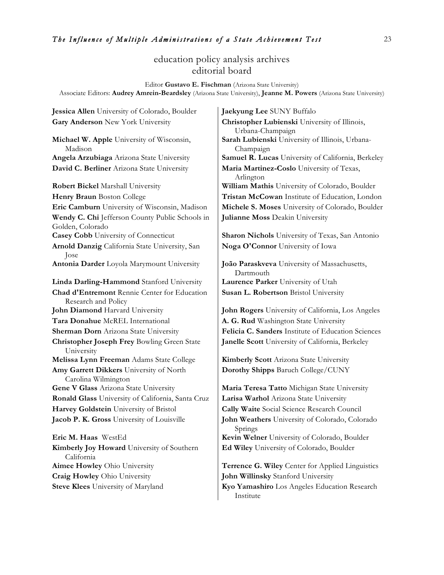education policy analysis archives editorial board

Editor **Gustavo E. Fischman** (Arizona State University) Associate Editors: **Audrey Amrein-Beardsley** (Arizona State University), **Jeanne M. Powers** (Arizona State University)

**Jessica Allen** University of Colorado, Boulder **Jaekyung Lee** SUNY Buffalo

**Michael W. Apple** University of Wisconsin, Madison

**Robert Bickel** Marshall University **William Mathis** University of Colorado, Boulder **Wendy C. Chi** Jefferson County Public Schools in Golden, Colorado **Casey Cobb** University of Connecticut **Sharon Nichols** University of Texas, San Antonio **Arnold Danzig** California State University, San Jose **Antonia Darder** Loyola Marymount University **João Paraskveva** University of Massachusetts, **Linda Darling-Hammond** Stanford University **Laurence Parker** University of Utah **Chad d'Entremont** Rennie Center for Education Research and Policy **John Diamond** Harvard University **John Rogers** University of California, Los Angeles **Tara Donahue** McREL International **A. G. Rud** Washington State University **Christopher Joseph Frey** Bowling Green State University **Melissa Lynn Freeman** Adams State College **Kimberly Scott** Arizona State University **Amy Garrett Dikkers** University of North Carolina Wilmington **Gene V Glass** Arizona State University **Maria Teresa Tatto** Michigan State University **Ronald Glass** University of California, Santa Cruz **Larisa Warhol** Arizona State University **Harvey Goldstein** University of Bristol **Cally Waite** Social Science Research Council **Jacob P. K. Gross** University of Louisville **John Weathers** University of Colorado, Colorado **Eric M. Haas** WestEd **Kevin Welner** University of Colorado, Boulder **Kimberly Joy Howard** University of Southern

California

**Gary Anderson** New York University **Christopher Lubienski** University of Illinois, Urbana-Champaign **Sarah Lubienski** University of Illinois, Urbana-Champaign **Angela Arzubiaga** Arizona State University **Samuel R. Lucas** University of California, Berkeley **David C. Berliner** Arizona State University **Maria Martinez-Coslo** University of Texas, Arlington **Henry Braun** Boston College **Tristan McCowan** Institute of Education, London **Eric Camburn** University of Wisconsin, Madison **Michele S. Moses** University of Colorado, Boulder **Julianne Moss** Deakin University

**Noga O'Connor** University of Iowa

Dartmouth **Susan L. Robertson** Bristol University

**Sherman Dorn** Arizona State University **Felicia C. Sanders** Institute of Education Sciences **Janelle Scott** University of California, Berkeley

**Dorothy Shipps** Baruch College/CUNY

Springs **Ed Wiley** University of Colorado, Boulder

**Aimee Howley** Ohio University **Terrence G. Wiley** Center for Applied Linguistics **Craig Howley** Ohio University **John Willinsky** Stanford University

**Steve Klees** University of Maryland **Kyo Yamashiro** Los Angeles Education Research Institute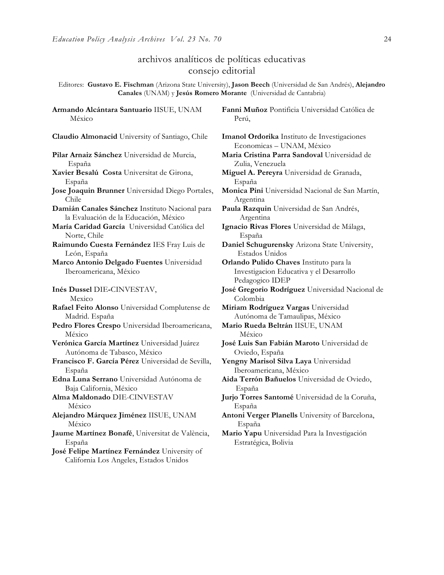## archivos analíticos de políticas educativas consejo editorial

Editores: **Gustavo E. Fischman** (Arizona State University), **Jason Beech** (Universidad de San Andrés), **Alejandro Canales** (UNAM) y **Jesús Romero Morante** (Universidad de Cantabria)

**Armando Alcántara Santuario** IISUE, UNAM México

**Claudio Almonacid** University of Santiago, Chile **Imanol Ordorika** Instituto de Investigaciones

**Pilar Arnaiz Sánchez** Universidad de Murcia, España

- **Xavier Besalú Costa** Universitat de Girona, España
- **Jose Joaquin Brunner** Universidad Diego Portales, Chile
- **Damián Canales Sánchez** Instituto Nacional para la Evaluación de la Educación, México
- **María Caridad García** Universidad Católica del Norte, Chile
- **Raimundo Cuesta Fernández** IES Fray Luis de León, España
- **Marco Antonio Delgado Fuentes** Universidad Iberoamericana, México
- **Inés Dussel** DIE**-**CINVESTAV, Mexico
- **Rafael Feito Alonso** Universidad Complutense de Madrid. España
- **Pedro Flores Crespo** Universidad Iberoamericana, México
- **Verónica García Martínez** Universidad Juárez Autónoma de Tabasco, México
- **Francisco F. García Pérez** Universidad de Sevilla, España
- **Edna Luna Serrano** Universidad Autónoma de Baja California, México
- **Alma Maldonado** DIE-CINVESTAV México
- **Alejandro Márquez Jiménez** IISUE, UNAM México
- **Jaume Martínez Bonafé**, Universitat de València, España
- **José Felipe Martínez Fernández** University of California Los Angeles, Estados Unidos

**Fanni Muñoz** Pontificia Universidad Católica de Perú,

Economicas – UNAM, México **Maria Cristina Parra Sandoval** Universidad de

- Zulia, Venezuela
- **Miguel A. Pereyra** Universidad de Granada, España
- **Monica Pini** Universidad Nacional de San Martín, Argentina
- **Paula Razquin** Universidad de San Andrés, Argentina
- **Ignacio Rivas Flores** Universidad de Málaga, España
- **Daniel Schugurensky** Arizona State University, Estados Unidos
- **Orlando Pulido Chaves** Instituto para la Investigacion Educativa y el Desarrollo Pedagogico IDEP
- **José Gregorio Rodríguez** Universidad Nacional de Colombia
- **Miriam Rodríguez Vargas** Universidad Autónoma de Tamaulipas, México
- **Mario Rueda Beltrán** IISUE, UNAM México
- **José Luis San Fabián Maroto** Universidad de Oviedo, España
- **Yengny Marisol Silva Laya** Universidad Iberoamericana, México
- **Aida Terrón Bañuelos** Universidad de Oviedo, España
- **Jurjo Torres Santomé** Universidad de la Coruña, España
- **Antoni Verger Planells** University of Barcelona, España
- **Mario Yapu** Universidad Para la Investigación Estratégica, Bolivia